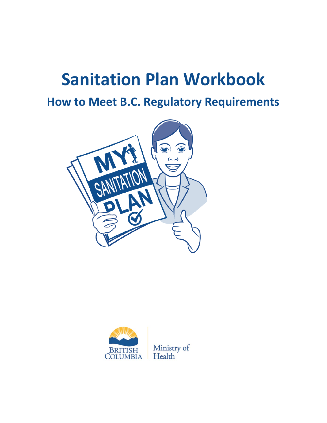# **Sanitation Plan Workbook**

**How to Meet B.C. Regulatory Requirements**



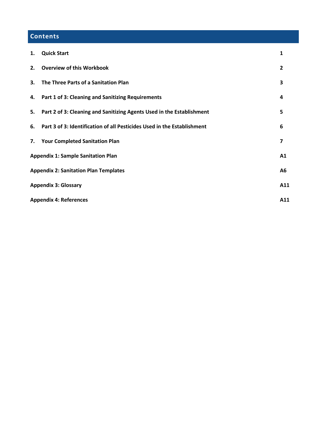# **Contents**

| 1.                                   | <b>Quick Start</b>                                                      | 1              |  |
|--------------------------------------|-------------------------------------------------------------------------|----------------|--|
| 2.                                   | <b>Overview of this Workbook</b>                                        | $\overline{2}$ |  |
| 3.                                   | The Three Parts of a Sanitation Plan                                    | 3              |  |
| 4.                                   | <b>Part 1 of 3: Cleaning and Sanitizing Requirements</b>                | 4              |  |
| 5.                                   | Part 2 of 3: Cleaning and Sanitizing Agents Used in the Establishment   | 5              |  |
| 6.                                   | Part 3 of 3: Identification of all Pesticides Used in the Establishment | 6              |  |
| 7.                                   | <b>Your Completed Sanitation Plan</b>                                   | 7              |  |
|                                      | <b>Appendix 1: Sample Sanitation Plan</b><br>A1                         |                |  |
|                                      | <b>Appendix 2: Sanitation Plan Templates</b><br>А6                      |                |  |
| <b>Appendix 3: Glossary</b><br>A11   |                                                                         |                |  |
| <b>Appendix 4: References</b><br>A11 |                                                                         |                |  |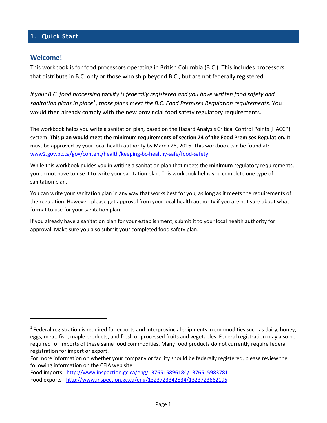### <span id="page-2-0"></span>**1. Quick Start**

#### **Welcome!**

 $\overline{\phantom{a}}$ 

This workbook is for food processors operating in British Columbia (B.C.). This includes processors that distribute in B.C. only or those who ship beyond B.C., but are not federally registered.

*If your B.C. food processing facility is federally registered and you have written food safety and*  sanitation plans in place<sup>[1](#page-2-1)</sup>, those plans meet the B.C. Food Premises Regulation requirements. You would then already comply with the new provincial food safety regulatory requirements.

The workbook helps you write a sanitation plan, based on the Hazard Analysis Critical Control Points (HACCP) system. **This plan would meet the minimum requirements of section 24 of the Food Premises Regulation.** It must be approved by your local health authority by March 26, 2016. This workbook can be found at: [www2.gov.bc.ca/gov/content/health/keeping-bc-healthy-safe/food-safety.](http://www2.gov.bc.ca/gov/content/health/keeping-bc-healthy-safe/food-safety)

While this workbook guides you in writing a sanitation plan that meets the **minimum** regulatory requirements, you do not have to use it to write your sanitation plan. This workbook helps you complete one type of sanitation plan.

You can write your sanitation plan in any way that works best for you, as long as it meets the requirements of the regulation. However, please get approval from your local health authority if you are not sure about what format to use for your sanitation plan.

If you already have a sanitation plan for your establishment, submit it to your local health authority for approval. Make sure you also submit your completed food safety plan.

<span id="page-2-1"></span> $1$  Federal registration is required for exports and interprovincial shipments in commodities such as dairy, honey, eggs, meat, fish, maple products, and fresh or processed fruits and vegetables. Federal registration may also be required for imports of these same food commodities. Many food products do not currently require federal registration for import or export.

For more information on whether your company or facility should be federally registered, please review the following information on the CFIA web site:

Food imports - <http://www.inspection.gc.ca/eng/1376515896184/1376515983781> Food exports - <http://www.inspection.gc.ca/eng/1323723342834/1323723662195>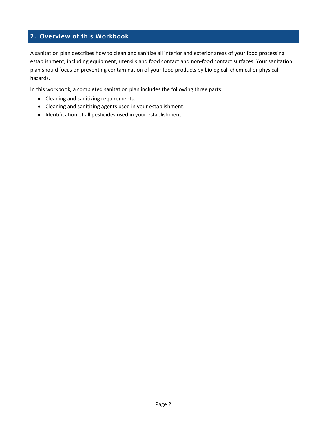### **2. Overview of this Workbook**

A sanitation plan describes how to clean and sanitize all interior and exterior areas of your food processing establishment, including equipment, utensils and food contact and non-food contact surfaces. Your sanitation plan should focus on preventing contamination of your food products by biological, chemical or physical hazards.

In this workbook, a completed sanitation plan includes the following three parts:

- Cleaning and sanitizing requirements.
- Cleaning and sanitizing agents used in your establishment.
- Identification of all pesticides used in your establishment.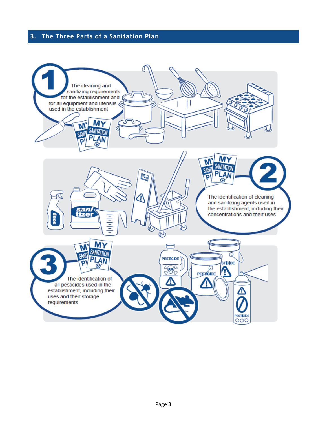# <span id="page-4-0"></span>**3. The Three Parts of a Sanitation Plan**

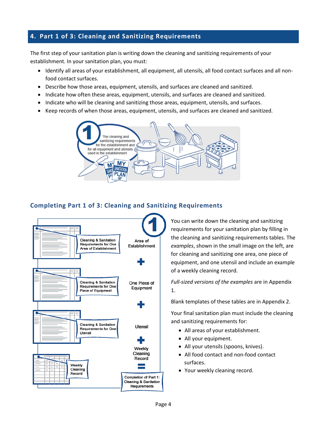## <span id="page-5-0"></span>**4. Part 1 of 3: Cleaning and Sanitizing Requirements**

The first step of your sanitation plan is writing down the cleaning and sanitizing requirements of your establishment. In your sanitation plan, you must:

- Identify all areas of your establishment, all equipment, all utensils, all food contact surfaces and all nonfood contact surfaces.
- Describe how those areas, equipment, utensils, and surfaces are cleaned and sanitized.
- Indicate how often these areas, equipment, utensils, and surfaces are cleaned and sanitized.
- Indicate who will be cleaning and sanitizing those areas, equipment, utensils, and surfaces.
- Keep records of when those areas, equipment, utensils, and surfaces are cleaned and sanitized.



#### **Completing Part 1 of 3: Cleaning and Sanitizing Requirements**



You can write down the cleaning and sanitizing requirements for your sanitation plan by filling in the cleaning and sanitizing requirements tables. The *examples*, shown in the small image on the left, are for cleaning and sanitizing one area, one piece of equipment, and one utensil and include an example of a weekly cleaning record.

*Full-sized versions of the examples* are in Appendix 1.

Blank templates of these tables are in Appendix 2.

Your final sanitation plan must include the cleaning and sanitizing requirements for:

- All areas of your establishment.
- All your equipment.
- All your utensils (spoons, knives).
- All food contact and non-food contact surfaces.
- Your weekly cleaning record.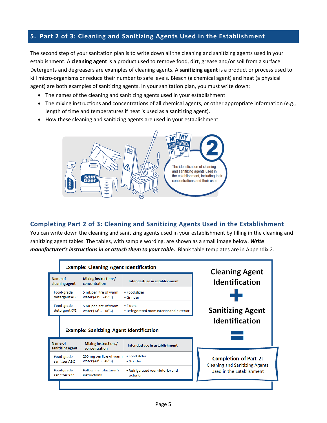## <span id="page-6-0"></span>**5. Part 2 of 3: Cleaning and Sanitizing Agents Used in the Establishment**

The second step of your sanitation plan is to write down all the cleaning and sanitizing agents used in your establishment. A **cleaning agent** is a product used to remove food, dirt, grease and/or soil from a surface. Detergents and degreasers are examples of cleaning agents. A **sanitizing agent** is a product or process used to kill micro-organisms or reduce their number to safe levels. Bleach (a chemical agent) and heat (a physical agent) are both examples of sanitizing agents. In your sanitation plan, you must write down:

- The names of the cleaning and sanitizing agents used in your establishment.
- The mixing instructions and concentrations of all chemical agents, or other appropriate information (e.g., length of time and temperatures if heat is used as a sanitizing agent).
- How these cleaning and sanitizing agents are used in your establishment.



#### **Completing Part 2 of 3: Cleaning and Sanitizing Agents Used in the Establishment**

You can write down the cleaning and sanitizing agents used in your establishment by filling in the cleaning and sanitizing agent tables. The tables, with sample wording, are shown as a small image below. *Write manufacturer's instructions in or attach them to your table.* Blank table templates are in Appendix 2.

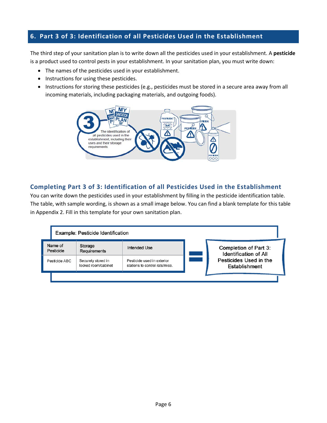### <span id="page-7-0"></span>**6. Part 3 of 3: Identification of all Pesticides Used in the Establishment**

The third step of your sanitation plan is to write down all the pesticides used in your establishment. A **pesticide** is a product used to control pests in your establishment. In your sanitation plan, you must write down:

- The names of the pesticides used in your establishment.
- Instructions for using these pesticides.
- Instructions for storing these pesticides (e.g., pesticides must be stored in a secure area away from all incoming materials, including packaging materials, and outgoing foods).



#### **Completing Part 3 of 3: Identification of all Pesticides Used in the Establishment**

You can write down the pesticides used in your establishment by filling in the pesticide identification table. The table, with sample wording, is shown as a small image below. You can find a blank template for this table in Appendix 2. Fill in this template for your own sanitation plan.

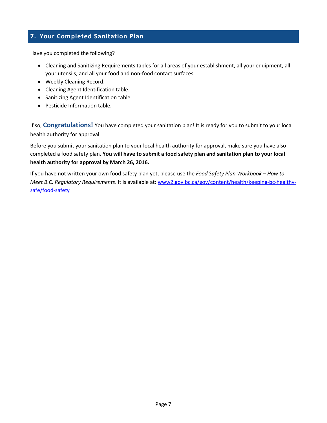# <span id="page-8-0"></span>**7. Your Completed Sanitation Plan**

Have you completed the following?

- Cleaning and Sanitizing Requirements tables for all areas of your establishment, all your equipment, all your utensils, and all your food and non-food contact surfaces.
- Weekly Cleaning Record.
- Cleaning Agent Identification table.
- Sanitizing Agent Identification table.
- Pesticide Information table.

If so, **Congratulations!** You have completed your sanitation plan! It is ready for you to submit to your local health authority for approval.

Before you submit your sanitation plan to your local health authority for approval, make sure you have also completed a food safety plan. **You will have to submit a food safety plan and sanitation plan to your local health authority for approval by March 26, 2016.** 

If you have not written your own food safety plan yet, please use the *Food Safety Plan Workbook – How to Meet B.C. Regulatory Requirements*. It is available at: [www2.gov.bc.ca/gov/content/health/keeping-bc-healthy](http://www2.gov.bc.ca/gov/content/health/keeping-bc-healthy-safe/food-safety)[safe/food-safety](http://www2.gov.bc.ca/gov/content/health/keeping-bc-healthy-safe/food-safety)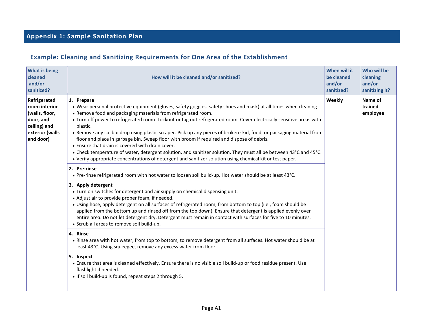# **Appendix 1: Sample Sanitation Plan**

# **Example: Cleaning and Sanitizing Requirements for One Area of the Establishment**

<span id="page-9-0"></span>

| <b>What is being</b><br>cleaned<br>and/or<br>sanitized?                                                      | How will it be cleaned and/or sanitized?                                                                                                                                                                                                                                                                                                                                                                                                                                                                                                                                                                                                                                                                                                                                                                                                       | When will it<br>be cleaned<br>and/or<br>sanitized? | Who will be<br>cleaning<br>and/or<br>sanitizing it? |
|--------------------------------------------------------------------------------------------------------------|------------------------------------------------------------------------------------------------------------------------------------------------------------------------------------------------------------------------------------------------------------------------------------------------------------------------------------------------------------------------------------------------------------------------------------------------------------------------------------------------------------------------------------------------------------------------------------------------------------------------------------------------------------------------------------------------------------------------------------------------------------------------------------------------------------------------------------------------|----------------------------------------------------|-----------------------------------------------------|
| Refrigerated<br>room interior<br>(walls, floor,<br>door, and<br>ceiling) and<br>exterior (walls<br>and door) | 1. Prepare<br>. Wear personal protective equipment (gloves, safety goggles, safety shoes and mask) at all times when cleaning.<br>• Remove food and packaging materials from refrigerated room.<br>• Turn off power to refrigerated room. Lockout or tag out refrigerated room. Cover electrically sensitive areas with<br>plastic.<br>• Remove any ice build-up using plastic scraper. Pick up any pieces of broken skid, food, or packaging material from<br>floor and place in garbage bin. Sweep floor with broom if required and dispose of debris.<br>• Ensure that drain is covered with drain cover.<br>• Check temperature of water, detergent solution, and sanitizer solution. They must all be between 43°C and 45°C.<br>. Verify appropriate concentrations of detergent and sanitizer solution using chemical kit or test paper. | Weekly                                             | Name of<br>trained<br>employee                      |
|                                                                                                              | 2. Pre-rinse<br>• Pre-rinse refrigerated room with hot water to loosen soil build-up. Hot water should be at least 43°C.<br>3. Apply detergent<br>• Turn on switches for detergent and air supply on chemical dispensing unit.<br>• Adjust air to provide proper foam, if needed.<br>• Using hose, apply detergent on all surfaces of refrigerated room, from bottom to top (i.e., foam should be<br>applied from the bottom up and rinsed off from the top down). Ensure that detergent is applied evenly over<br>entire area. Do not let detergent dry. Detergent must remain in contact with surfaces for five to 10 minutes.<br>• Scrub all areas to remove soil build-up.                                                                                                                                                                 |                                                    |                                                     |
|                                                                                                              | 4. Rinse<br>. Rinse area with hot water, from top to bottom, to remove detergent from all surfaces. Hot water should be at<br>least 43°C. Using squeegee, remove any excess water from floor.<br>5. Inspect<br>• Ensure that area is cleaned effectively. Ensure there is no visible soil build-up or food residue present. Use<br>flashlight if needed.<br>• If soil build-up is found, repeat steps 2 through 5.                                                                                                                                                                                                                                                                                                                                                                                                                             |                                                    |                                                     |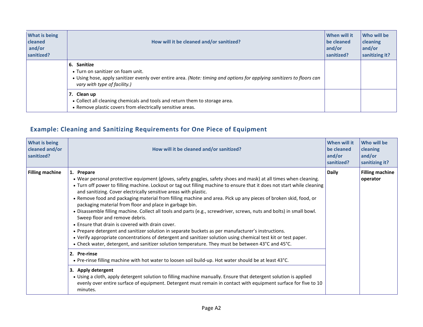| <b>What is being</b><br>cleaned<br>and/or<br>sanitized? | How will it be cleaned and/or sanitized?                                                                                                                                                                      | When will it<br>be cleaned<br>and/or<br>sanitized? | Who will be<br>cleaning<br>and/or<br>sanitizing it? |
|---------------------------------------------------------|---------------------------------------------------------------------------------------------------------------------------------------------------------------------------------------------------------------|----------------------------------------------------|-----------------------------------------------------|
|                                                         | Sanitize<br>6.<br>• Turn on sanitizer on foam unit.<br>• Using hose, apply sanitizer evenly over entire area. (Note: timing and options for applying sanitizers to floors can<br>vary with type of facility.) |                                                    |                                                     |
|                                                         | 7. Clean up<br>• Collect all cleaning chemicals and tools and return them to storage area.<br>• Remove plastic covers from electrically sensitive areas.                                                      |                                                    |                                                     |

# **Example: Cleaning and Sanitizing Requirements for One Piece of Equipment**

| <b>What is being</b><br>cleaned and/or<br>sanitized? | How will it be cleaned and/or sanitized?                                                                                                                                                                                                                                                                                                                                                                                                                                                                                                                                                                                                                                                                                                                                                                                                                                                                                                                                                                                                                | When will it<br>be cleaned<br>and/or<br>sanitized? | <b>Who will be</b><br><b>cleaning</b><br>and/or<br>sanitizing it? |
|------------------------------------------------------|---------------------------------------------------------------------------------------------------------------------------------------------------------------------------------------------------------------------------------------------------------------------------------------------------------------------------------------------------------------------------------------------------------------------------------------------------------------------------------------------------------------------------------------------------------------------------------------------------------------------------------------------------------------------------------------------------------------------------------------------------------------------------------------------------------------------------------------------------------------------------------------------------------------------------------------------------------------------------------------------------------------------------------------------------------|----------------------------------------------------|-------------------------------------------------------------------|
| <b>Filling machine</b>                               | 1. Prepare<br>. Wear personal protective equipment (gloves, safety goggles, safety shoes and mask) at all times when cleaning.<br>. Turn off power to filling machine. Lockout or tag out filling machine to ensure that it does not start while cleaning<br>and sanitizing. Cover electrically sensitive areas with plastic.<br>• Remove food and packaging material from filling machine and area. Pick up any pieces of broken skid, food, or<br>packaging material from floor and place in garbage bin.<br>. Disassemble filling machine. Collect all tools and parts (e.g., screwdriver, screws, nuts and bolts) in small bowl.<br>Sweep floor and remove debris.<br>• Ensure that drain is covered with drain cover.<br>. Prepare detergent and sanitizer solution in separate buckets as per manufacturer's instructions.<br>. Verify appropriate concentrations of detergent and sanitizer solution using chemical test kit or test paper.<br>• Check water, detergent, and sanitizer solution temperature. They must be between 43°C and 45°C. | <b>Daily</b>                                       | <b>Filling machine</b><br>operator                                |
|                                                      | 2. Pre-rinse<br>. Pre-rinse filling machine with hot water to loosen soil build-up. Hot water should be at least 43°C.                                                                                                                                                                                                                                                                                                                                                                                                                                                                                                                                                                                                                                                                                                                                                                                                                                                                                                                                  |                                                    |                                                                   |
|                                                      | 3. Apply detergent<br>• Using a cloth, apply detergent solution to filling machine manually. Ensure that detergent solution is applied<br>evenly over entire surface of equipment. Detergent must remain in contact with equipment surface for five to 10<br>minutes.                                                                                                                                                                                                                                                                                                                                                                                                                                                                                                                                                                                                                                                                                                                                                                                   |                                                    |                                                                   |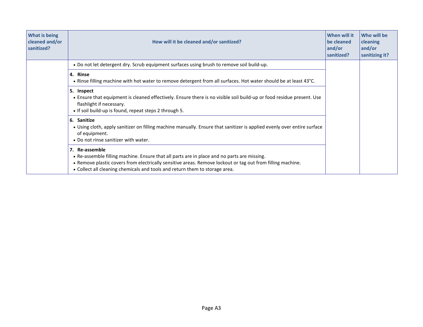| What is being<br>cleaned and/or<br>sanitized? | How will it be cleaned and/or sanitized?                                                                                                                                                                                                                                                                   | When will it<br>be cleaned<br>and/or<br>sanitized? | Who will be<br><b>cleaning</b><br>and/or<br>sanitizing it? |
|-----------------------------------------------|------------------------------------------------------------------------------------------------------------------------------------------------------------------------------------------------------------------------------------------------------------------------------------------------------------|----------------------------------------------------|------------------------------------------------------------|
|                                               | . Do not let detergent dry. Scrub equipment surfaces using brush to remove soil build-up.                                                                                                                                                                                                                  |                                                    |                                                            |
|                                               | 4. Rinse<br>• Rinse filling machine with hot water to remove detergent from all surfaces. Hot water should be at least 43°C.                                                                                                                                                                               |                                                    |                                                            |
|                                               | 5. Inspect<br>• Ensure that equipment is cleaned effectively. Ensure there is no visible soil build-up or food residue present. Use<br>flashlight if necessary.<br>• If soil build-up is found, repeat steps 2 through 5.                                                                                  |                                                    |                                                            |
|                                               | 6. Sanitize<br>• Using cloth, apply sanitizer on filling machine manually. Ensure that sanitizer is applied evenly over entire surface<br>of equipment.<br>• Do not rinse sanitizer with water.                                                                                                            |                                                    |                                                            |
|                                               | 7. Re-assemble<br>• Re-assemble filling machine. Ensure that all parts are in place and no parts are missing.<br>. Remove plastic covers from electrically sensitive areas. Remove lockout or tag out from filling machine.<br>• Collect all cleaning chemicals and tools and return them to storage area. |                                                    |                                                            |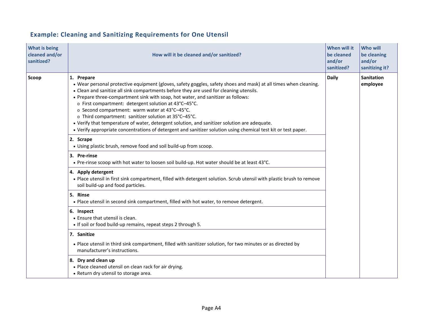| <b>What is being</b><br>cleaned and/or<br>sanitized? | How will it be cleaned and/or sanitized?                                                                                                                                                                                                                                                                                                                                                                                                                                                                                                                                                                                                                                                           | When will it<br>be cleaned<br>and/or<br>sanitized? | <b>Who will</b><br>be cleaning<br>and/or<br>sanitizing it? |
|------------------------------------------------------|----------------------------------------------------------------------------------------------------------------------------------------------------------------------------------------------------------------------------------------------------------------------------------------------------------------------------------------------------------------------------------------------------------------------------------------------------------------------------------------------------------------------------------------------------------------------------------------------------------------------------------------------------------------------------------------------------|----------------------------------------------------|------------------------------------------------------------|
| Scoop                                                | 1. Prepare<br>. Wear personal protective equipment (gloves, safety goggles, safety shoes and mask) at all times when cleaning.<br>• Clean and sanitize all sink compartments before they are used for cleaning utensils.<br>• Prepare three-compartment sink with soap, hot water, and sanitizer as follows:<br>o First compartment: detergent solution at 43°C-45°C.<br>o Second compartment: warm water at 43°C-45°C.<br>o Third compartment: sanitizer solution at 35°C-45°C.<br>. Verify that temperature of water, detergent solution, and sanitizer solution are adequate.<br>. Verify appropriate concentrations of detergent and sanitizer solution using chemical test kit or test paper. | <b>Daily</b>                                       | <b>Sanitation</b><br>employee                              |
|                                                      | 2. Scrape<br>• Using plastic brush, remove food and soil build-up from scoop.                                                                                                                                                                                                                                                                                                                                                                                                                                                                                                                                                                                                                      |                                                    |                                                            |
|                                                      | 3. Pre-rinse<br>• Pre-rinse scoop with hot water to loosen soil build-up. Hot water should be at least 43°C.                                                                                                                                                                                                                                                                                                                                                                                                                                                                                                                                                                                       |                                                    |                                                            |
|                                                      | 4. Apply detergent<br>. Place utensil in first sink compartment, filled with detergent solution. Scrub utensil with plastic brush to remove<br>soil build-up and food particles.                                                                                                                                                                                                                                                                                                                                                                                                                                                                                                                   |                                                    |                                                            |
|                                                      | 5. Rinse<br>. Place utensil in second sink compartment, filled with hot water, to remove detergent.                                                                                                                                                                                                                                                                                                                                                                                                                                                                                                                                                                                                |                                                    |                                                            |
|                                                      | 6. Inspect<br>• Ensure that utensil is clean.<br>. If soil or food build-up remains, repeat steps 2 through 5.                                                                                                                                                                                                                                                                                                                                                                                                                                                                                                                                                                                     |                                                    |                                                            |
|                                                      | 7. Sanitize                                                                                                                                                                                                                                                                                                                                                                                                                                                                                                                                                                                                                                                                                        |                                                    |                                                            |
|                                                      | . Place utensil in third sink compartment, filled with sanitizer solution, for two minutes or as directed by<br>manufacturer's instructions.                                                                                                                                                                                                                                                                                                                                                                                                                                                                                                                                                       |                                                    |                                                            |
|                                                      | 8. Dry and clean up<br>• Place cleaned utensil on clean rack for air drying.<br>• Return dry utensil to storage area.                                                                                                                                                                                                                                                                                                                                                                                                                                                                                                                                                                              |                                                    |                                                            |

# **Example: Cleaning and Sanitizing Requirements for One Utensil**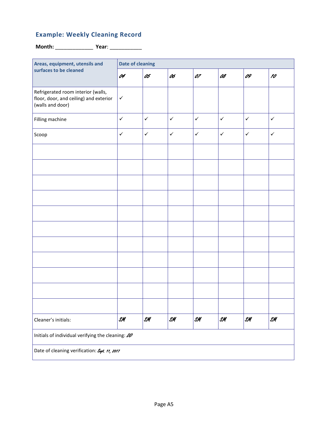# **Example: Weekly Cleaning Record**

**Month:** \_\_\_\_\_\_\_\_\_\_\_\_\_ **Year**: \_\_\_\_\_\_\_\_\_\_\_

| Areas, equipment, utensils and                                                                   | <b>Date of cleaning</b> |                |                 |                |                |                |                |  |
|--------------------------------------------------------------------------------------------------|-------------------------|----------------|-----------------|----------------|----------------|----------------|----------------|--|
| surfaces to be cleaned                                                                           | 04                      | 05             | 06              | 07             | 08             | 09             | 10             |  |
| Refrigerated room interior (walls,<br>floor, door, and ceiling) and exterior<br>(walls and door) | $\checkmark$            |                |                 |                |                |                |                |  |
| Filling machine                                                                                  | $\checkmark$            | $\checkmark$   | $\checkmark$    | $\checkmark$   | $\checkmark$   | $\checkmark$   | $\checkmark$   |  |
| Scoop                                                                                            | $\checkmark$            | $\checkmark$   | $\checkmark$    | $\checkmark$   | $\checkmark$   | $\checkmark$   | $\checkmark$   |  |
|                                                                                                  |                         |                |                 |                |                |                |                |  |
|                                                                                                  |                         |                |                 |                |                |                |                |  |
|                                                                                                  |                         |                |                 |                |                |                |                |  |
|                                                                                                  |                         |                |                 |                |                |                |                |  |
|                                                                                                  |                         |                |                 |                |                |                |                |  |
|                                                                                                  |                         |                |                 |                |                |                |                |  |
|                                                                                                  |                         |                |                 |                |                |                |                |  |
|                                                                                                  |                         |                |                 |                |                |                |                |  |
|                                                                                                  |                         |                |                 |                |                |                |                |  |
|                                                                                                  |                         |                |                 |                |                |                |                |  |
|                                                                                                  |                         |                |                 |                |                |                |                |  |
| Cleaner's initials:                                                                              | $\mathcal{S}$ M         | $\mathcal{SM}$ | $\mathcal{S}$ M | $\mathcal{SM}$ | $\mathcal{SM}$ | $\mathcal{SM}$ | $\mathcal{S}M$ |  |
| Initials of individual verifying the cleaning: 00                                                |                         |                |                 |                |                |                |                |  |
| Date of cleaning verification: Sept. 11, 2017                                                    |                         |                |                 |                |                |                |                |  |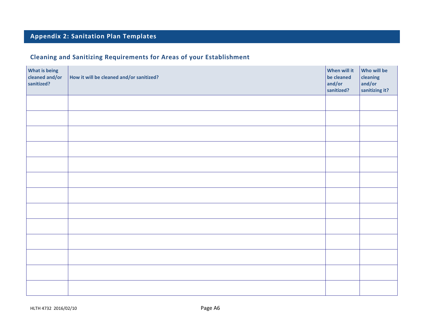# **Appendix 2: Sanitation Plan Templates**

# **Cleaning and Sanitizing Requirements for Areas of your Establishment**

<span id="page-14-0"></span>

| <b>What is being</b><br>cleaned and/or<br>sanitized? | How it will be cleaned and/or sanitized? | When will it<br>be cleaned<br>and/or<br>sanitized? | Who will be<br>cleaning<br>and/or<br>sanitizing it? |
|------------------------------------------------------|------------------------------------------|----------------------------------------------------|-----------------------------------------------------|
|                                                      |                                          |                                                    |                                                     |
|                                                      |                                          |                                                    |                                                     |
|                                                      |                                          |                                                    |                                                     |
|                                                      |                                          |                                                    |                                                     |
|                                                      |                                          |                                                    |                                                     |
|                                                      |                                          |                                                    |                                                     |
|                                                      |                                          |                                                    |                                                     |
|                                                      |                                          |                                                    |                                                     |
|                                                      |                                          |                                                    |                                                     |
|                                                      |                                          |                                                    |                                                     |
|                                                      |                                          |                                                    |                                                     |
|                                                      |                                          |                                                    |                                                     |
|                                                      |                                          |                                                    |                                                     |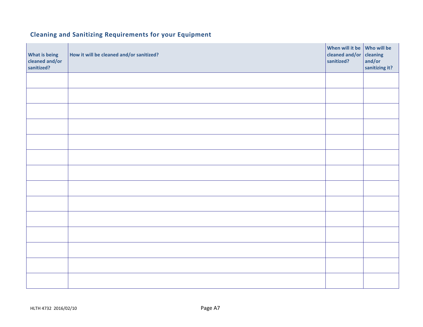# **Cleaning and Sanitizing Requirements for your Equipment**

| <b>What is being</b><br>cleaned and/or<br>sanitized? | How it will be cleaned and/or sanitized? | When will it be Who will be<br>cleaned and/or<br>sanitized? | cleaning<br>and/or<br>sanitizing it? |
|------------------------------------------------------|------------------------------------------|-------------------------------------------------------------|--------------------------------------|
|                                                      |                                          |                                                             |                                      |
|                                                      |                                          |                                                             |                                      |
|                                                      |                                          |                                                             |                                      |
|                                                      |                                          |                                                             |                                      |
|                                                      |                                          |                                                             |                                      |
|                                                      |                                          |                                                             |                                      |
|                                                      |                                          |                                                             |                                      |
|                                                      |                                          |                                                             |                                      |
|                                                      |                                          |                                                             |                                      |
|                                                      |                                          |                                                             |                                      |
|                                                      |                                          |                                                             |                                      |
|                                                      |                                          |                                                             |                                      |
|                                                      |                                          |                                                             |                                      |
|                                                      |                                          |                                                             |                                      |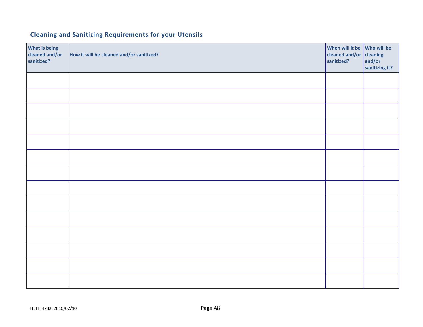# **Cleaning and Sanitizing Requirements for your Utensils**

| What is being<br>cleaned and/or<br>sanitized? | How it will be cleaned and/or sanitized? | When will it be Who will be<br>cleaned and/or<br>sanitized? | cleaning<br>and/or<br>sanitizing it? |
|-----------------------------------------------|------------------------------------------|-------------------------------------------------------------|--------------------------------------|
|                                               |                                          |                                                             |                                      |
|                                               |                                          |                                                             |                                      |
|                                               |                                          |                                                             |                                      |
|                                               |                                          |                                                             |                                      |
|                                               |                                          |                                                             |                                      |
|                                               |                                          |                                                             |                                      |
|                                               |                                          |                                                             |                                      |
|                                               |                                          |                                                             |                                      |
|                                               |                                          |                                                             |                                      |
|                                               |                                          |                                                             |                                      |
|                                               |                                          |                                                             |                                      |
|                                               |                                          |                                                             |                                      |
|                                               |                                          |                                                             |                                      |
|                                               |                                          |                                                             |                                      |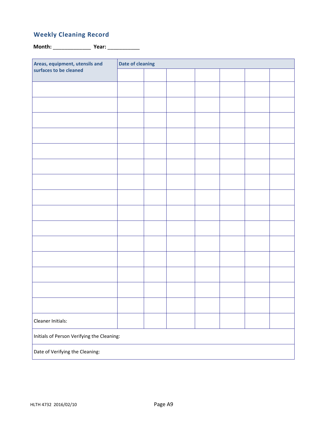# **Weekly Cleaning Record**

**Month:** \_\_\_\_\_\_\_\_\_\_\_\_\_ **Year:** \_\_\_\_\_\_\_\_\_\_\_

| Areas, equipment, utensils and             | <b>Date of cleaning</b> |  |  |  |  |  |  |
|--------------------------------------------|-------------------------|--|--|--|--|--|--|
| surfaces to be cleaned                     |                         |  |  |  |  |  |  |
|                                            |                         |  |  |  |  |  |  |
|                                            |                         |  |  |  |  |  |  |
|                                            |                         |  |  |  |  |  |  |
|                                            |                         |  |  |  |  |  |  |
|                                            |                         |  |  |  |  |  |  |
|                                            |                         |  |  |  |  |  |  |
|                                            |                         |  |  |  |  |  |  |
|                                            |                         |  |  |  |  |  |  |
|                                            |                         |  |  |  |  |  |  |
|                                            |                         |  |  |  |  |  |  |
|                                            |                         |  |  |  |  |  |  |
|                                            |                         |  |  |  |  |  |  |
|                                            |                         |  |  |  |  |  |  |
|                                            |                         |  |  |  |  |  |  |
|                                            |                         |  |  |  |  |  |  |
| Cleaner Initials:                          |                         |  |  |  |  |  |  |
| Initials of Person Verifying the Cleaning: |                         |  |  |  |  |  |  |
| Date of Verifying the Cleaning:            |                         |  |  |  |  |  |  |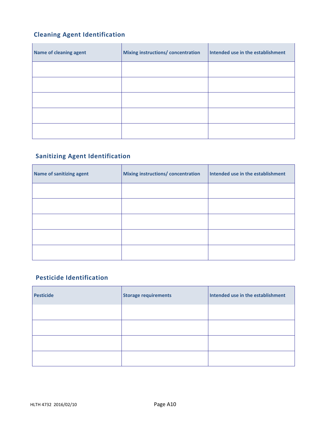# **Cleaning Agent Identification**

| <b>Name of cleaning agent</b> | <b>Mixing instructions/ concentration</b> | Intended use in the establishment |
|-------------------------------|-------------------------------------------|-----------------------------------|
|                               |                                           |                                   |
|                               |                                           |                                   |
|                               |                                           |                                   |
|                               |                                           |                                   |
|                               |                                           |                                   |

# **Sanitizing Agent Identification**

| Name of sanitizing agent | Mixing instructions/ concentration | Intended use in the establishment |
|--------------------------|------------------------------------|-----------------------------------|
|                          |                                    |                                   |
|                          |                                    |                                   |
|                          |                                    |                                   |
|                          |                                    |                                   |
|                          |                                    |                                   |

#### **Pesticide Identification**

| <b>Pesticide</b> | Storage requirements | Intended use in the establishment |
|------------------|----------------------|-----------------------------------|
|                  |                      |                                   |
|                  |                      |                                   |
|                  |                      |                                   |
|                  |                      |                                   |